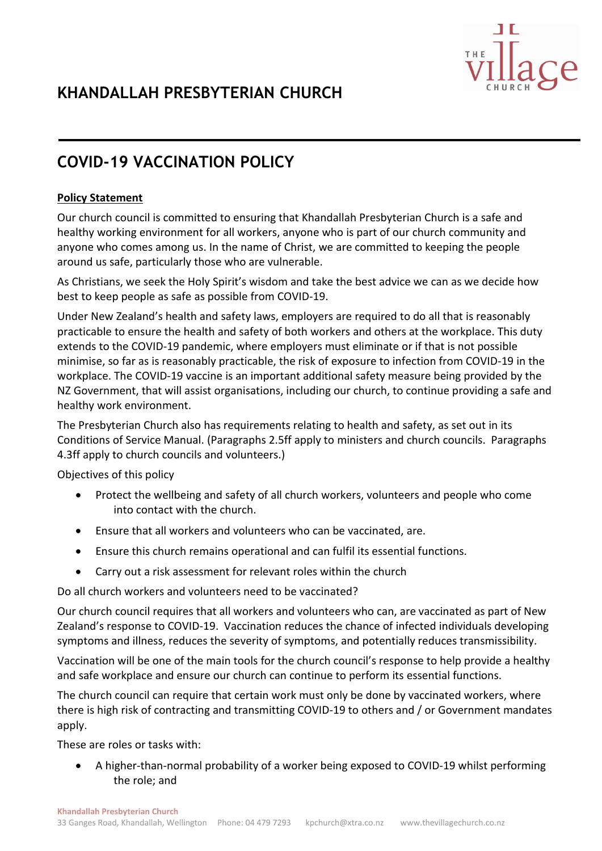# **COVID-19 VACCINATION POLICY**

## **Policy Statement**

Our church council is committed to ensuring that Khandallah Presbyterian Church is a safe and healthy working environment for all workers, anyone who is part of our church community and anyone who comes among us. In the name of Christ, we are committed to keeping the people around us safe, particularly those who are vulnerable.

As Christians, we seek the Holy Spirit's wisdom and take the best advice we can as we decide how best to keep people as safe as possible from COVID-19.

Under New Zealand's health and safety laws, employers are required to do all that is reasonably practicable to ensure the health and safety of both workers and others at the workplace. This duty extends to the COVID-19 pandemic, where employers must eliminate or if that is not possible minimise, so far as is reasonably practicable, the risk of exposure to infection from COVID-19 in the workplace. The COVID-19 vaccine is an important additional safety measure being provided by the NZ Government, that will assist organisations, including our church, to continue providing a safe and healthy work environment.

The Presbyterian Church also has requirements relating to health and safety, as set out in its Conditions of Service Manual. (Paragraphs 2.5ff apply to ministers and church councils. Paragraphs 4.3ff apply to church councils and volunteers.)

Objectives of this policy

- Protect the wellbeing and safety of all church workers, volunteers and people who come into contact with the church.
- Ensure that all workers and volunteers who can be vaccinated, are.
- Ensure this church remains operational and can fulfil its essential functions.
- Carry out a risk assessment for relevant roles within the church

Do all church workers and volunteers need to be vaccinated?

Our church council requires that all workers and volunteers who can, are vaccinated as part of New Zealand's response to COVID-19. Vaccination reduces the chance of infected individuals developing symptoms and illness, reduces the severity of symptoms, and potentially reduces transmissibility.

Vaccination will be one of the main tools for the church council's response to help provide a healthy and safe workplace and ensure our church can continue to perform its essential functions.

The church council can require that certain work must only be done by vaccinated workers, where there is high risk of contracting and transmitting COVID-19 to others and / or Government mandates apply.

These are roles or tasks with:

• A higher-than-normal probability of a worker being exposed to COVID-19 whilst performing the role; and